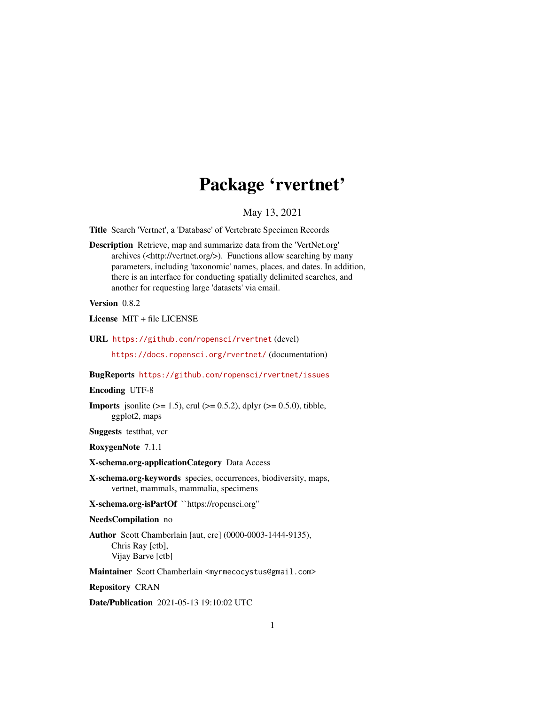## Package 'rvertnet'

#### May 13, 2021

<span id="page-0-0"></span>Title Search 'Vertnet', a 'Database' of Vertebrate Specimen Records

Description Retrieve, map and summarize data from the 'VertNet.org' archives (<http://vertnet.org/>). Functions allow searching by many parameters, including 'taxonomic' names, places, and dates. In addition, there is an interface for conducting spatially delimited searches, and another for requesting large 'datasets' via email.

#### Version 0.8.2

License MIT + file LICENSE

URL <https://github.com/ropensci/rvertnet> (devel)

<https://docs.ropensci.org/rvertnet/> (documentation)

#### BugReports <https://github.com/ropensci/rvertnet/issues>

#### Encoding UTF-8

**Imports** jsonlite ( $>= 1.5$ ), crul ( $>= 0.5.2$ ), dplyr ( $>= 0.5.0$ ), tibble, ggplot2, maps

Suggests testthat, vcr

RoxygenNote 7.1.1

#### X-schema.org-applicationCategory Data Access

- X-schema.org-keywords species, occurrences, biodiversity, maps, vertnet, mammals, mammalia, specimens
- X-schema.org-isPartOf ``https://ropensci.org''

#### NeedsCompilation no

Author Scott Chamberlain [aut, cre] (0000-0003-1444-9135), Chris Ray [ctb], Vijay Barve [ctb]

Maintainer Scott Chamberlain <myrmecocystus@gmail.com>

Repository CRAN

Date/Publication 2021-05-13 19:10:02 UTC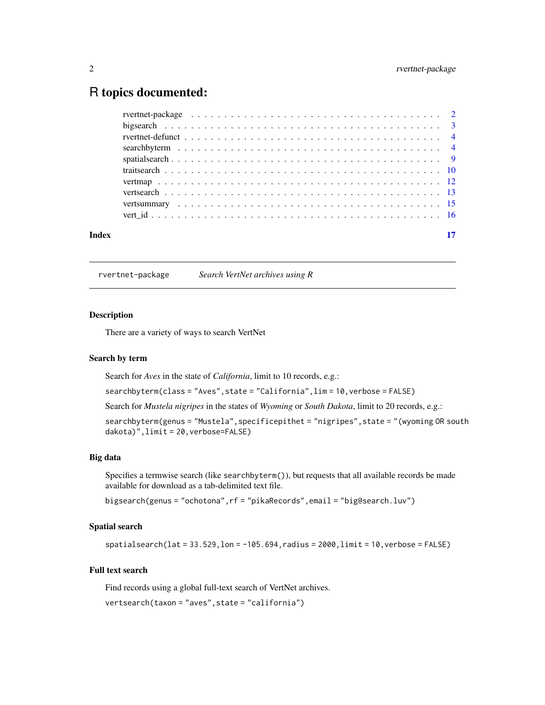### <span id="page-1-0"></span>R topics documented:

| Index |  |
|-------|--|

rvertnet-package *Search VertNet archives using R*

#### Description

There are a variety of ways to search VertNet

#### Search by term

Search for *Aves* in the state of *California*, limit to 10 records, e.g.:

searchbyterm(class = "Aves",state = "California",lim = 10,verbose = FALSE)

Search for *Mustela nigripes* in the states of *Wyoming* or *South Dakota*, limit to 20 records, e.g.:

searchbyterm(genus = "Mustela", specificepithet = "nigripes", state = "(wyoming OR south dakota)",limit = 20,verbose=FALSE)

#### Big data

Specifies a termwise search (like searchbyterm()), but requests that all available records be made available for download as a tab-delimited text file.

bigsearch(genus = "ochotona",rf = "pikaRecords",email = "big@search.luv")

#### Spatial search

 $s$ patialsearch(lat = 33.529,lon =  $-105.694$ , radius = 2000,limit = 10, verbose = FALSE)

#### Full text search

Find records using a global full-text search of VertNet archives. vertsearch(taxon = "aves",state = "california")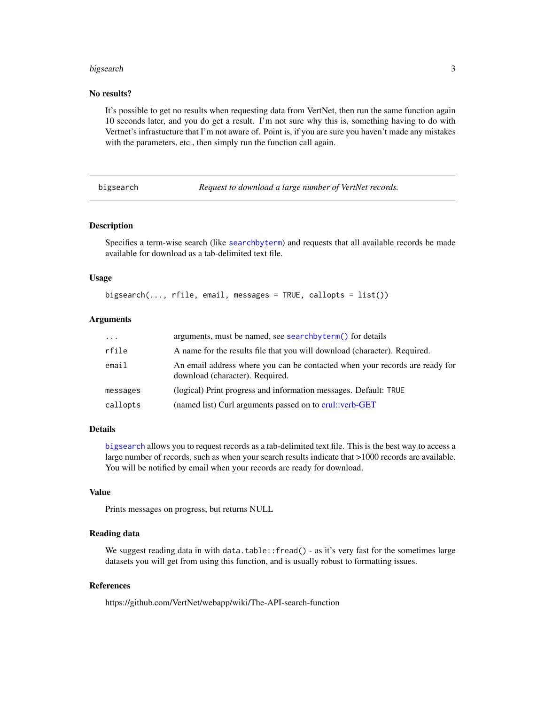#### <span id="page-2-0"></span>bigsearch 3

#### No results?

It's possible to get no results when requesting data from VertNet, then run the same function again 10 seconds later, and you do get a result. I'm not sure why this is, something having to do with Vertnet's infrastucture that I'm not aware of. Point is, if you are sure you haven't made any mistakes with the parameters, etc., then simply run the function call again.

<span id="page-2-1"></span>bigsearch *Request to download a large number of VertNet records.*

#### Description

Specifies a term-wise search (like [searchbyterm](#page-3-1)) and requests that all available records be made available for download as a tab-delimited text file.

#### Usage

bigsearch(..., rfile, email, messages = TRUE, callopts = list())

#### Arguments

| $\cdots$ | arguments, must be named, see searchbyterm() for details                                                       |
|----------|----------------------------------------------------------------------------------------------------------------|
| rfile    | A name for the results file that you will download (character). Required.                                      |
| email    | An email address where you can be contacted when your records are ready for<br>download (character). Required. |
| messages | (logical) Print progress and information messages. Default: TRUE                                               |
| callopts | (named list) Curl arguments passed on to crul::verb-GET                                                        |

#### Details

[bigsearch](#page-2-1) allows you to request records as a tab-delimited text file. This is the best way to access a large number of records, such as when your search results indicate that >1000 records are available. You will be notified by email when your records are ready for download.

#### Value

Prints messages on progress, but returns NULL

#### Reading data

We suggest reading data in with data.table::fread() - as it's very fast for the sometimes large datasets you will get from using this function, and is usually robust to formatting issues.

#### References

https://github.com/VertNet/webapp/wiki/The-API-search-function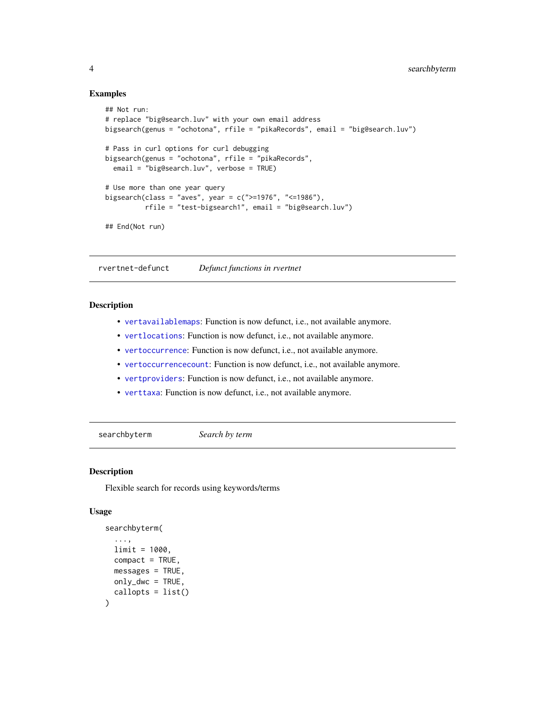#### Examples

```
## Not run:
# replace "big@search.luv" with your own email address
bigsearch(genus = "ochotona", rfile = "pikaRecords", email = "big@search.luv")
# Pass in curl options for curl debugging
bigsearch(genus = "ochotona", rfile = "pikaRecords",
  email = "big@search.luv", verbose = TRUE)
# Use more than one year query
bigsearch(class = "aves", year = c(">=1976", "<=1986"),
          rfile = "test-bigsearch1", email = "big@search.luv")
## End(Not run)
```
rvertnet-defunct *Defunct functions in rvertnet*

#### **Description**

- [vertavailablemaps](#page-0-0): Function is now defunct, i.e., not available anymore.
- [vertlocations](#page-0-0): Function is now defunct, i.e., not available anymore.
- [vertoccurrence](#page-0-0): Function is now defunct, i.e., not available anymore.
- [vertoccurrencecount](#page-0-0): Function is now defunct, i.e., not available anymore.
- [vertproviders](#page-0-0): Function is now defunct, i.e., not available anymore.
- [verttaxa](#page-0-0): Function is now defunct, i.e., not available anymore.

<span id="page-3-1"></span>searchbyterm *Search by term*

#### Description

Flexible search for records using keywords/terms

#### Usage

```
searchbyterm(
  ...,
 limit = 1000,
 compact = TRUE,
 messages = TRUE,only_dwc = TRUE,callopts = list())
```
<span id="page-3-0"></span>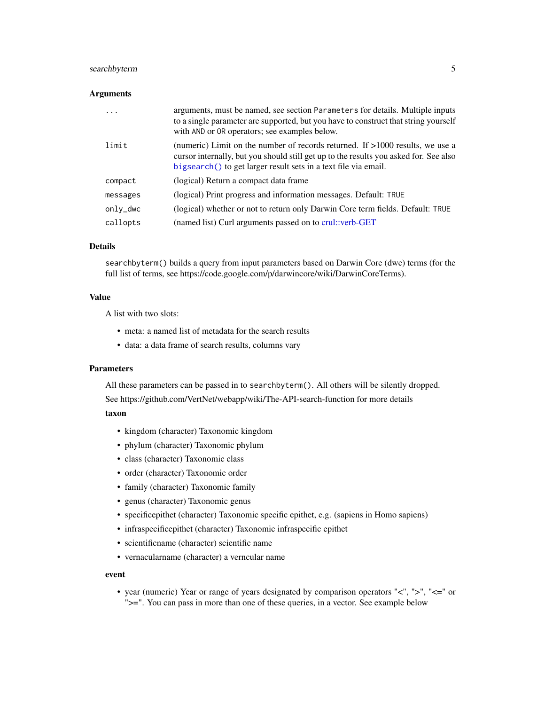#### <span id="page-4-0"></span>searchbyterm 5

#### **Arguments**

| .        | arguments, must be named, see section Parameters for details. Multiple inputs<br>to a single parameter are supported, but you have to construct that string yourself<br>with AND or OR operators; see examples below.                       |
|----------|---------------------------------------------------------------------------------------------------------------------------------------------------------------------------------------------------------------------------------------------|
| limit    | (numeric) Limit on the number of records returned. If $>1000$ results, we use a<br>cursor internally, but you should still get up to the results you asked for. See also<br>bigsearch() to get larger result sets in a text file via email. |
| compact  | (logical) Return a compact data frame                                                                                                                                                                                                       |
| messages | (logical) Print progress and information messages. Default: TRUE                                                                                                                                                                            |
| only_dwc | (logical) whether or not to return only Darwin Core term fields. Default: TRUE                                                                                                                                                              |
| callopts | (named list) Curl arguments passed on to crul::verb-GET                                                                                                                                                                                     |

#### Details

searchbyterm() builds a query from input parameters based on Darwin Core (dwc) terms (for the full list of terms, see https://code.google.com/p/darwincore/wiki/DarwinCoreTerms).

#### Value

A list with two slots:

- meta: a named list of metadata for the search results
- data: a data frame of search results, columns vary

#### Parameters

All these parameters can be passed in to searchbyterm(). All others will be silently dropped.

See https://github.com/VertNet/webapp/wiki/The-API-search-function for more details

#### taxon

- kingdom (character) Taxonomic kingdom
- phylum (character) Taxonomic phylum
- class (character) Taxonomic class
- order (character) Taxonomic order
- family (character) Taxonomic family
- genus (character) Taxonomic genus
- specificepithet (character) Taxonomic specific epithet, e.g. (sapiens in Homo sapiens)
- infraspecificepithet (character) Taxonomic infraspecific epithet
- scientificname (character) scientific name
- vernacularname (character) a verncular name

#### event

• year (numeric) Year or range of years designated by comparison operators "<", ">", "<=" or ">=". You can pass in more than one of these queries, in a vector. See example below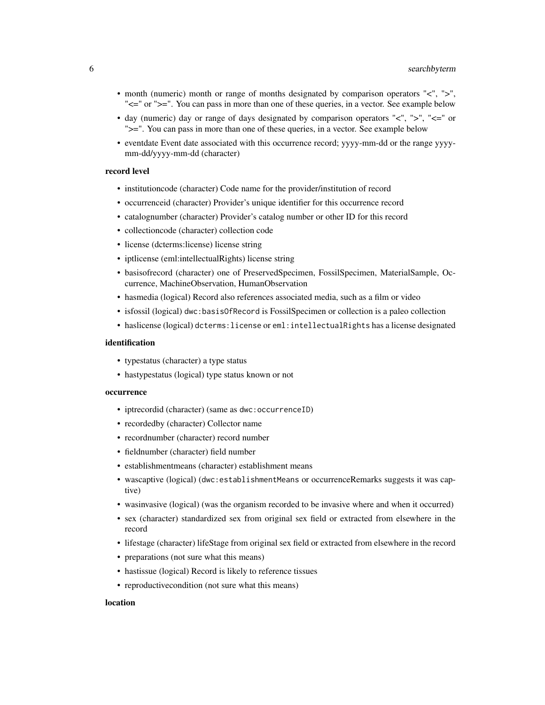- month (numeric) month or range of months designated by comparison operators "<", ">", " $\leq$ =" or ">=". You can pass in more than one of these queries, in a vector. See example below
- day (numeric) day or range of days designated by comparison operators " $\lt$ ", " $\gt$ ", " $\lt =$ " or ">=". You can pass in more than one of these queries, in a vector. See example below
- eventdate Event date associated with this occurrence record; yyyy-mm-dd or the range yyyymm-dd/yyyy-mm-dd (character)

#### record level

- institutioncode (character) Code name for the provider/institution of record
- occurrenceid (character) Provider's unique identifier for this occurrence record
- catalognumber (character) Provider's catalog number or other ID for this record
- collectioncode (character) collection code
- license (dcterms:license) license string
- iptlicense (eml:intellectualRights) license string
- basisofrecord (character) one of PreservedSpecimen, FossilSpecimen, MaterialSample, Occurrence, MachineObservation, HumanObservation
- hasmedia (logical) Record also references associated media, such as a film or video
- isfossil (logical) dwc:basisOfRecord is FossilSpecimen or collection is a paleo collection
- haslicense (logical) dcterms:license or eml:intellectualRights has a license designated

#### identification

- typestatus (character) a type status
- hastypestatus (logical) type status known or not

#### occurrence

- iptrecordid (character) (same as dwc:occurrenceID)
- recordedby (character) Collector name
- recordnumber (character) record number
- fieldnumber (character) field number
- establishmentmeans (character) establishment means
- wascaptive (logical) (dwc:establishmentMeans or occurrenceRemarks suggests it was captive)
- wasinvasive (logical) (was the organism recorded to be invasive where and when it occurred)
- sex (character) standardized sex from original sex field or extracted from elsewhere in the record
- lifestage (character) lifeStage from original sex field or extracted from elsewhere in the record
- preparations (not sure what this means)
- hastissue (logical) Record is likely to reference tissues
- reproductive condition (not sure what this means)

#### location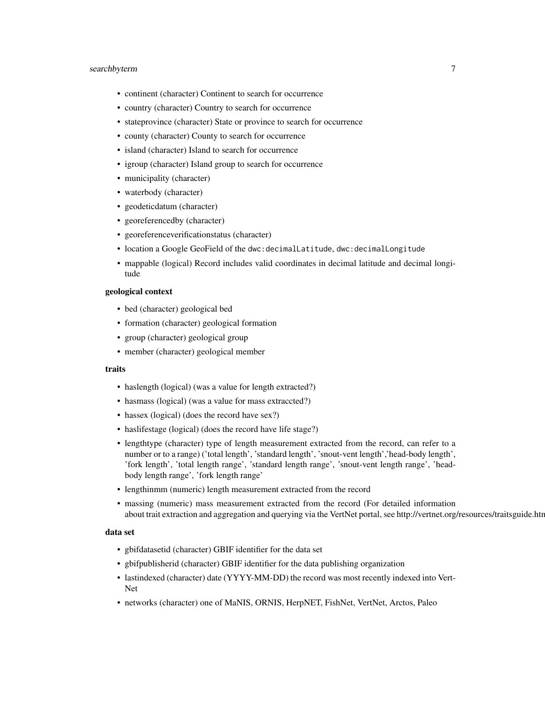#### searchbyterm 7

- continent (character) Continent to search for occurrence
- country (character) Country to search for occurrence
- stateprovince (character) State or province to search for occurrence
- county (character) County to search for occurrence
- island (character) Island to search for occurrence
- igroup (character) Island group to search for occurrence
- municipality (character)
- waterbody (character)
- geodeticdatum (character)
- georeferencedby (character)
- georeferenceverificationstatus (character)
- location a Google GeoField of the dwc:decimalLatitude, dwc:decimalLongitude
- mappable (logical) Record includes valid coordinates in decimal latitude and decimal longitude

#### geological context

- bed (character) geological bed
- formation (character) geological formation
- group (character) geological group
- member (character) geological member

#### traits

- haslength (logical) (was a value for length extracted?)
- hasmass (logical) (was a value for mass extraccted?)
- hassex (logical) (does the record have sex?)
- haslifestage (logical) (does the record have life stage?)
- lengthtype (character) type of length measurement extracted from the record, can refer to a number or to a range) ('total length', 'standard length', 'snout-vent length','head-body length', 'fork length', 'total length range', 'standard length range', 'snout-vent length range', 'headbody length range', 'fork length range'
- lengthinmm (numeric) length measurement extracted from the record
- massing (numeric) mass measurement extracted from the record (For detailed information about trait extraction and aggregation and querying via the VertNet portal, see http://vertnet.org/resources/traitsguide.htr

#### data set

- gbifdatasetid (character) GBIF identifier for the data set
- gbifpublisherid (character) GBIF identifier for the data publishing organization
- lastindexed (character) date (YYYY-MM-DD) the record was most recently indexed into Vert-Net
- networks (character) one of MaNIS, ORNIS, HerpNET, FishNet, VertNet, Arctos, Paleo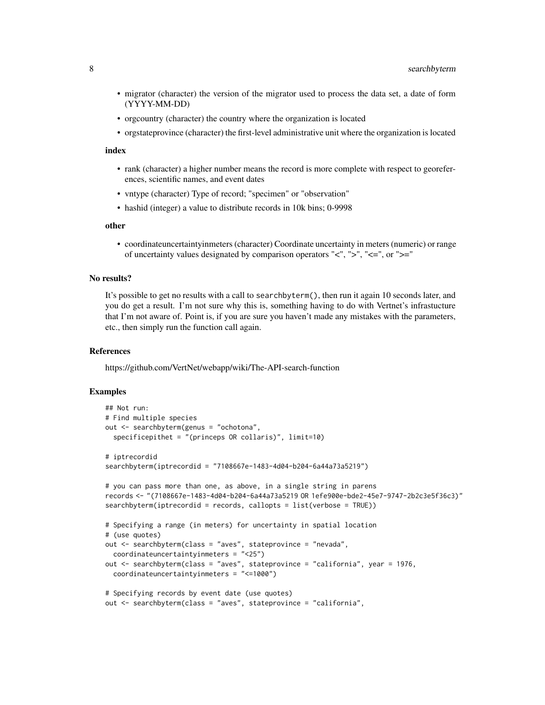- migrator (character) the version of the migrator used to process the data set, a date of form (YYYY-MM-DD)
- orgcountry (character) the country where the organization is located
- orgstateprovince (character) the first-level administrative unit where the organization is located

#### index

- rank (character) a higher number means the record is more complete with respect to georeferences, scientific names, and event dates
- vntype (character) Type of record; "specimen" or "observation"
- hashid (integer) a value to distribute records in 10k bins; 0-9998

#### other

• coordinateuncertaintyinmeters (character) Coordinate uncertainty in meters (numeric) or range of uncertainty values designated by comparison operators " $\lt$ ", " $\gt$ ", " $\lt =$ ", or " $\gt =$ "

#### No results?

It's possible to get no results with a call to searchbyterm(), then run it again 10 seconds later, and you do get a result. I'm not sure why this is, something having to do with Vertnet's infrastucture that I'm not aware of. Point is, if you are sure you haven't made any mistakes with the parameters, etc., then simply run the function call again.

#### References

https://github.com/VertNet/webapp/wiki/The-API-search-function

```
## Not run:
# Find multiple species
out <- searchbyterm(genus = "ochotona",
 specificepithet = "(princeps OR collaris)", limit=10)
# iptrecordid
searchbyterm(iptrecordid = "7108667e-1483-4d04-b204-6a44a73a5219")
# you can pass more than one, as above, in a single string in parens
records <- "(7108667e-1483-4d04-b204-6a44a73a5219 OR 1efe900e-bde2-45e7-9747-2b2c3e5f36c3)"
searchbyterm(iptrecordid = records, callopts = list(verbose = TRUE))
# Specifying a range (in meters) for uncertainty in spatial location
# (use quotes)
out <- searchbyterm(class = "aves", stateprovince = "nevada",
 coordinateuncertaintyinmeters = "<25")
out <- searchbyterm(class = "aves", stateprovince = "california", year = 1976,
 coordinateuncertaintyinmeters = "<=1000")
# Specifying records by event date (use quotes)
out <- searchbyterm(class = "aves", stateprovince = "california",
```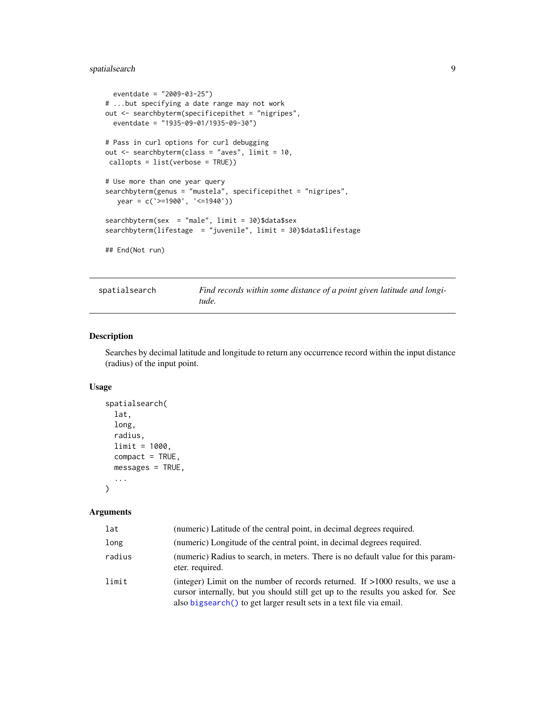#### <span id="page-8-0"></span>spatialsearch 9

```
eventdate = "2009-03-25")
# ...but specifying a date range may not work
out <- searchbyterm(specificepithet = "nigripes",
  eventdate = "1935-09-01/1935-09-30")
# Pass in curl options for curl debugging
out <- searchbyterm(class = "aves", limit = 10,
callopts = list(verbose = TRUE))
# Use more than one year query
searchbyterm(genus = "mustela", specificepithet = "nigripes",
  year = c('>=1900', '<=1940'))
searchbyterm(sex = "male", limit = 30)$data$sex
searchbyterm(lifestage = "juvenile", limit = 30)$data$lifestage
## End(Not run)
```
<span id="page-8-1"></span>

| spatialsearch | Find records within some distance of a point given latitude and longi- |
|---------------|------------------------------------------------------------------------|
|               | tude.                                                                  |

#### Description

Searches by decimal latitude and longitude to return any occurrence record within the input distance (radius) of the input point.

#### Usage

```
spatialsearch(
  lat,
  long,
  radius,
  limit = 1000,
  compact = TRUE,messages = TRUE,
  ...
)
```
#### Arguments

| lat    | (numeric) Latitude of the central point, in decimal degrees required.                                                                                                                                                                       |
|--------|---------------------------------------------------------------------------------------------------------------------------------------------------------------------------------------------------------------------------------------------|
| long   | (numeric) Longitude of the central point, in decimal degrees required.                                                                                                                                                                      |
| radius | (numeric) Radius to search, in meters. There is no default value for this param-<br>eter. required.                                                                                                                                         |
| limit  | (integer) Limit on the number of records returned. If $>1000$ results, we use a<br>cursor internally, but you should still get up to the results you asked for. See<br>also bigsearch() to get larger result sets in a text file via email. |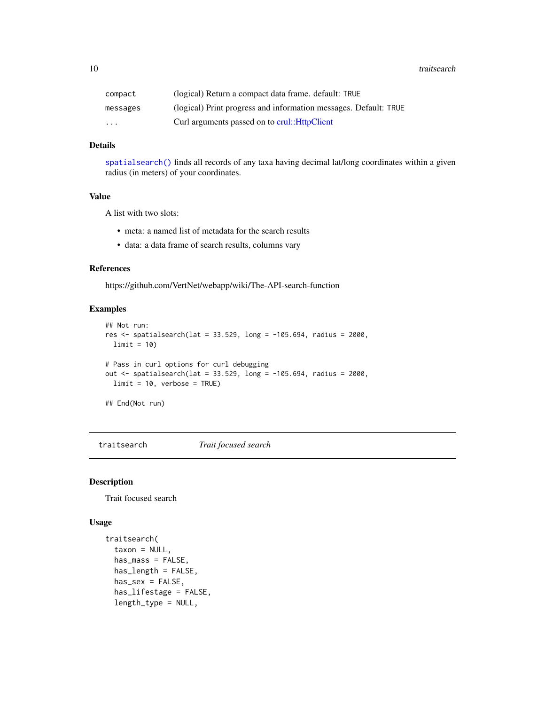<span id="page-9-0"></span>10 traitsearch and the contract of the contract of the contract of the contract of the contract of the contract of the contract of the contract of the contract of the contract of the contract of the contract of the contrac

| compact  | (logical) Return a compact data frame, default: TRUE             |
|----------|------------------------------------------------------------------|
| messages | (logical) Print progress and information messages. Default: TRUE |
| .        | Curl arguments passed on to crul:: HttpClient                    |

#### Details

[spatialsearch\(\)](#page-8-1) finds all records of any taxa having decimal lat/long coordinates within a given radius (in meters) of your coordinates.

#### Value

A list with two slots:

- meta: a named list of metadata for the search results
- data: a data frame of search results, columns vary

#### References

https://github.com/VertNet/webapp/wiki/The-API-search-function

#### Examples

```
## Not run:
res <- spatialsearch(lat = 33.529, long = -105.694, radius = 2000,
 limit = 10)
# Pass in curl options for curl debugging
out \le spatialsearch(lat = 33.529, long = -105.694, radius = 2000,
  limit = 10, verbose = TRUE)
```
## End(Not run)

traitsearch *Trait focused search*

#### Description

Trait focused search

#### Usage

```
traitsearch(
  taxon = NULL,has_mass = FALSE,
 has_length = FALSE,
 has\_sex = FALSE,has_lifestage = FALSE,
  length_type = NULL,
```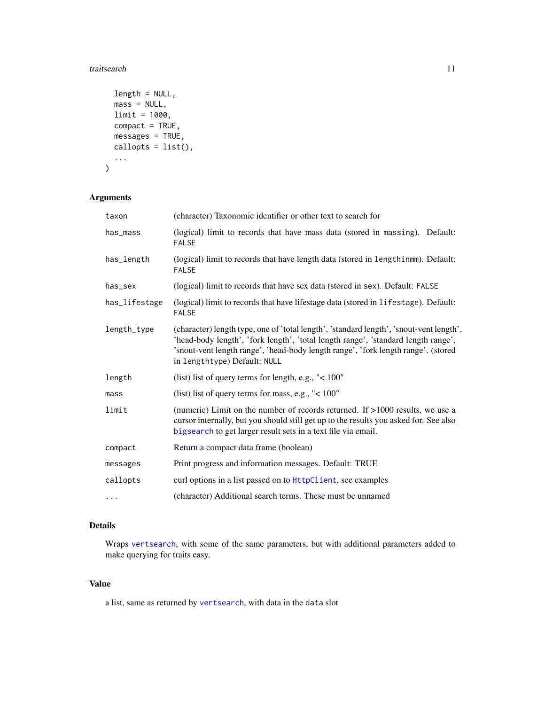#### <span id="page-10-0"></span>traitsearch that the contract of the contract of the contract of the contract of the contract of the contract of the contract of the contract of the contract of the contract of the contract of the contract of the contract

```
length = NULL,mass = NULL,limit = 1000,
 compact = TRUE,
 messages = TRUE,
 callopts = list(),
  ...
)
```
#### Arguments

| taxon         | (character) Taxonomic identifier or other text to search for                                                                                                                                                                                                                                      |
|---------------|---------------------------------------------------------------------------------------------------------------------------------------------------------------------------------------------------------------------------------------------------------------------------------------------------|
| has_mass      | (logical) limit to records that have mass data (stored in massing). Default:<br><b>FALSE</b>                                                                                                                                                                                                      |
| has_length    | (logical) limit to records that have length data (stored in lengthinmm). Default:<br><b>FALSE</b>                                                                                                                                                                                                 |
| has_sex       | (logical) limit to records that have sex data (stored in sex). Default: FALSE                                                                                                                                                                                                                     |
| has_lifestage | (logical) limit to records that have lifestage data (stored in lifestage). Default:<br><b>FALSE</b>                                                                                                                                                                                               |
| length_type   | (character) length type, one of 'total length', 'standard length', 'snout-vent length',<br>'head-body length', 'fork length', 'total length range', 'standard length range',<br>'snout-vent length range', 'head-body length range', 'fork length range'. (stored<br>in lengthtype) Default: NULL |
| length        | (list) list of query terms for length, e.g., " $< 100$ "                                                                                                                                                                                                                                          |
| mass          | (list) list of query terms for mass, e.g., " $< 100$ "                                                                                                                                                                                                                                            |
| limit         | (numeric) Limit on the number of records returned. If $>1000$ results, we use a<br>cursor internally, but you should still get up to the results you asked for. See also<br>bigsearch to get larger result sets in a text file via email.                                                         |
| compact       | Return a compact data frame (boolean)                                                                                                                                                                                                                                                             |
| messages      | Print progress and information messages. Default: TRUE                                                                                                                                                                                                                                            |
| callopts      | curl options in a list passed on to HttpClient, see examples                                                                                                                                                                                                                                      |
| $\cdots$      | (character) Additional search terms. These must be unnamed                                                                                                                                                                                                                                        |

#### Details

Wraps [vertsearch](#page-12-1), with some of the same parameters, but with additional parameters added to make querying for traits easy.

#### Value

a list, same as returned by [vertsearch](#page-12-1), with data in the data slot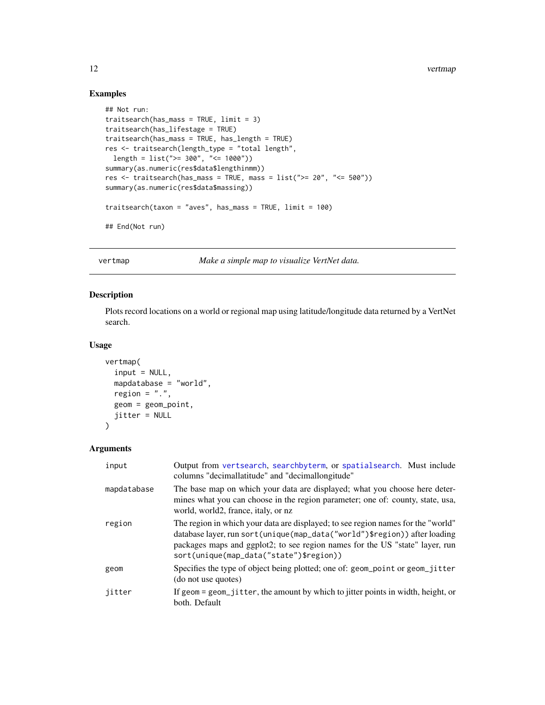#### Examples

```
## Not run:
traitsearch(has_mass = TRUE, limit = 3)
traitsearch(has_lifestage = TRUE)
traitsearch(has_mass = TRUE, has_length = TRUE)
res <- traitsearch(length_type = "total length",
  length = list(">= 300", "<= 1000"))
summary(as.numeric(res$data$lengthinmm))
res \le traitsearch(has_mass = TRUE, mass = list(">= 20", "<= 500"))summary(as.numeric(res$data$massing))
traitsearch(taxon = "aves", has_mass = TRUE, limit = 100)
## End(Not run)
```
vertmap *Make a simple map to visualize VertNet data.*

#### Description

Plots record locations on a world or regional map using latitude/longitude data returned by a VertNet search.

#### Usage

```
vertmap(
  input = NULL,
  mapdatabase = "world",
  region = ".".geom = geom_point,
  jitter = NULL
\mathcal{L}
```
#### Arguments

| input       | Output from vertsearch, searchbyterm, or spatialsearch. Must include<br>columns "decimallatitude" and "decimallongitude"                                                                                                                                                                     |
|-------------|----------------------------------------------------------------------------------------------------------------------------------------------------------------------------------------------------------------------------------------------------------------------------------------------|
| mapdatabase | The base map on which your data are displayed; what you choose here deter-<br>mines what you can choose in the region parameter; one of: county, state, usa,<br>world, world2, france, italy, or nz                                                                                          |
| region      | The region in which your data are displayed; to see region names for the "world"<br>database layer, run sort (unique (map_data ("world") \$region)) after loading<br>packages maps and ggplot2; to see region names for the US "state" layer, run<br>sort(unique(map_data("state")\$region)) |
| geom        | Specifies the type of object being plotted; one of: geom_point or geom_jitter<br>(do not use quotes)                                                                                                                                                                                         |
| jitter      | If geom = geom_jitter, the amount by which to jitter points in width, height, or<br>both. Default                                                                                                                                                                                            |

<span id="page-11-0"></span>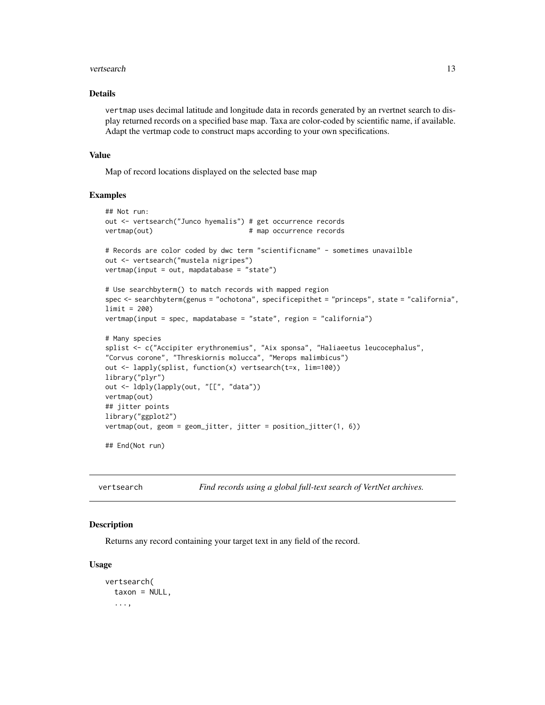#### <span id="page-12-0"></span>vertsearch 13

#### Details

vertmap uses decimal latitude and longitude data in records generated by an rvertnet search to display returned records on a specified base map. Taxa are color-coded by scientific name, if available. Adapt the vertmap code to construct maps according to your own specifications.

#### Value

Map of record locations displayed on the selected base map

#### Examples

```
## Not run:
out <- vertsearch("Junco hyemalis") # get occurrence records
vertmap(out) # map occurrence records
# Records are color coded by dwc term "scientificname" - sometimes unavailble
out <- vertsearch("mustela nigripes")
vertmap(input = out, mapdatabase = "state")# Use searchbyterm() to match records with mapped region
spec <- searchbyterm(genus = "ochotona", specificepithet = "princeps", state = "california",
limit = 200)
vertmap(input = spec, mapdatabase = "state", region = "california")
# Many species
splist <- c("Accipiter erythronemius", "Aix sponsa", "Haliaeetus leucocephalus",
"Corvus corone", "Threskiornis molucca", "Merops malimbicus")
out <- lapply(splist, function(x) vertsearch(t=x, lim=100))
library("plyr")
out <- ldply(lapply(out, "[[", "data"))
vertmap(out)
## jitter points
library("ggplot2")
vertmap(out, geom = geom_jitter, jitter = position_jitter(1, 6))
## End(Not run)
```
<span id="page-12-1"></span>

vertsearch *Find records using a global full-text search of VertNet archives.*

#### Description

Returns any record containing your target text in any field of the record.

#### Usage

```
vertsearch(
  taxon = NULL,
  ...,
```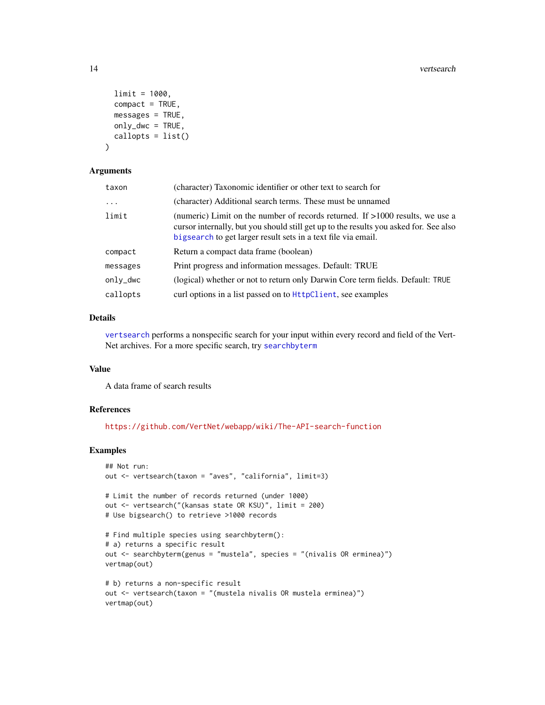```
limit = 1000,
 compact = TRUE,messages = TRUE,only_dwc = TRUE,callopts = list()\lambda
```
#### Arguments

| taxon      | (character) Taxonomic identifier or other text to search for                                                                                                                                                                              |
|------------|-------------------------------------------------------------------------------------------------------------------------------------------------------------------------------------------------------------------------------------------|
| $\ddots$ . | (character) Additional search terms. These must be unnamed                                                                                                                                                                                |
| limit      | (numeric) Limit on the number of records returned. If $>1000$ results, we use a<br>cursor internally, but you should still get up to the results you asked for. See also<br>bigsearch to get larger result sets in a text file via email. |
| compact    | Return a compact data frame (boolean)                                                                                                                                                                                                     |
| messages   | Print progress and information messages. Default: TRUE                                                                                                                                                                                    |
| only_dwc   | (logical) whether or not to return only Darwin Core term fields. Default: TRUE                                                                                                                                                            |
| callopts   | curl options in a list passed on to HttpClient, see examples                                                                                                                                                                              |

#### Details

[vertsearch](#page-12-1) performs a nonspecific search for your input within every record and field of the Vert-Net archives. For a more specific search, try [searchbyterm](#page-3-1)

#### Value

A data frame of search results

#### References

<https://github.com/VertNet/webapp/wiki/The-API-search-function>

```
## Not run:
out <- vertsearch(taxon = "aves", "california", limit=3)
# Limit the number of records returned (under 1000)
out <- vertsearch("(kansas state OR KSU)", limit = 200)
# Use bigsearch() to retrieve >1000 records
# Find multiple species using searchbyterm():
# a) returns a specific result
out <- searchbyterm(genus = "mustela", species = "(nivalis OR erminea)")
vertmap(out)
# b) returns a non-specific result
out <- vertsearch(taxon = "(mustela nivalis OR mustela erminea)")
vertmap(out)
```
<span id="page-13-0"></span>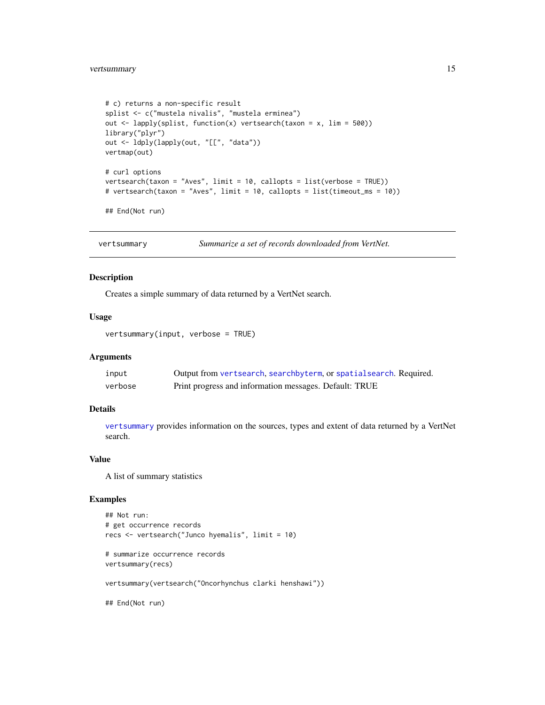```
# c) returns a non-specific result
splist <- c("mustela nivalis", "mustela erminea")
out \leq lapply(splist, function(x) vertsearch(taxon = x, lim = 500))
library("plyr")
out <- ldply(lapply(out, "[[", "data"))
vertmap(out)
# curl options
vertsearch(taxon = "Aves", limit = 10, callopts = list(verbose = TRUE))
# vertsearch(taxon = "Aves", limit = 10, callopts = list(timeout_ms = 10))
## End(Not run)
```
<span id="page-14-1"></span>vertsummary *Summarize a set of records downloaded from VertNet.*

#### Description

Creates a simple summary of data returned by a VertNet search.

#### Usage

vertsummary(input, verbose = TRUE)

#### Arguments

| input   | Output from vertsearch, searchbyterm, or spatial search. Required. |
|---------|--------------------------------------------------------------------|
| verbose | Print progress and information messages. Default: TRUE             |

#### Details

[vertsummary](#page-14-1) provides information on the sources, types and extent of data returned by a VertNet search.

#### Value

A list of summary statistics

```
## Not run:
# get occurrence records
recs <- vertsearch("Junco hyemalis", limit = 10)
# summarize occurrence records
vertsummary(recs)
vertsummary(vertsearch("Oncorhynchus clarki henshawi"))
## End(Not run)
```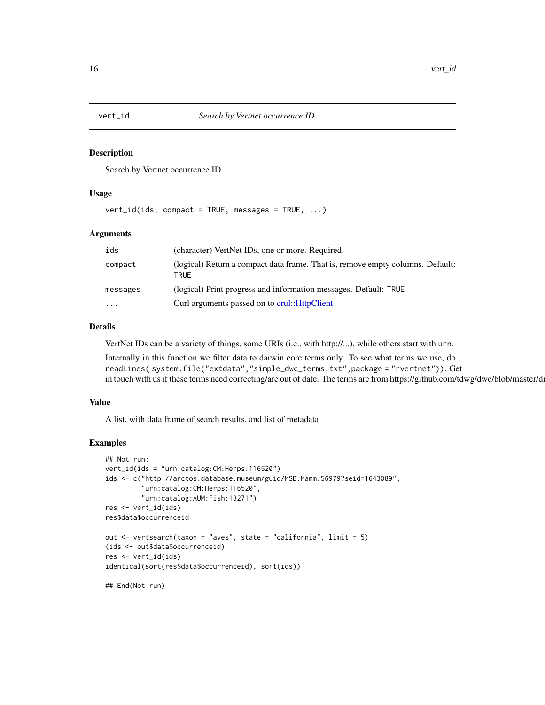<span id="page-15-0"></span>

#### Description

Search by Vertnet occurrence ID

#### Usage

vert\_id(ids, compact = TRUE, messages = TRUE, ...)

#### Arguments

| ids      | (character) VertNet IDs, one or more. Required.                                        |
|----------|----------------------------------------------------------------------------------------|
| compact  | (logical) Return a compact data frame. That is, remove empty columns. Default:<br>TRUE |
| messages | (logical) Print progress and information messages. Default: TRUE                       |
| $\cdots$ | Curl arguments passed on to crul:: HttpClient                                          |

#### Details

VertNet IDs can be a variety of things, some URIs (i.e., with http://...), while others start with urn.

Internally in this function we filter data to darwin core terms only. To see what terms we use, do readLines( system.file("extdata","simple\_dwc\_terms.txt",package = "rvertnet")). Get in touch with us if these terms need correcting/are out of date. The terms are from https://github.com/tdwg/dwc/blob/master/di

#### Value

A list, with data frame of search results, and list of metadata

```
## Not run:
vert_id(ids = "urn:catalog:CM:Herps:116520")
ids <- c("http://arctos.database.museum/guid/MSB:Mamm:56979?seid=1643089",
         "urn:catalog:CM:Herps:116520",
         "urn:catalog:AUM:Fish:13271")
res <- vert_id(ids)
res$data$occurrenceid
out <- vertsearch(taxon = "aves", state = "california", limit = 5)
(ids <- out$data$occurrenceid)
res <- vert_id(ids)
identical(sort(res$data$occurrenceid), sort(ids))
## End(Not run)
```